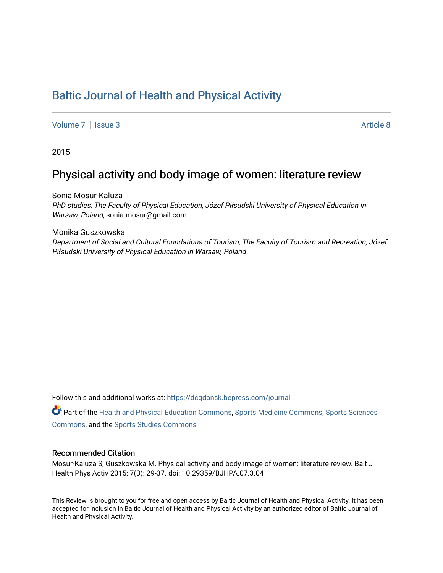# [Baltic Journal of Health and Physical Activity](https://dcgdansk.bepress.com/journal)

[Volume 7](https://dcgdansk.bepress.com/journal/vol7) | [Issue 3](https://dcgdansk.bepress.com/journal/vol7/iss3) Article 8

2015

## Physical activity and body image of women: literature review

Sonia Mosur-Kaluza PhD studies, The Faculty of Physical Education, Józef Piłsudski University of Physical Education in Warsaw, Poland, sonia.mosur@gmail.com

Monika Guszkowska Department of Social and Cultural Foundations of Tourism, The Faculty of Tourism and Recreation, Józef Piłsudski University of Physical Education in Warsaw, Poland

Follow this and additional works at: [https://dcgdansk.bepress.com/journal](https://dcgdansk.bepress.com/journal?utm_source=dcgdansk.bepress.com%2Fjournal%2Fvol7%2Fiss3%2F8&utm_medium=PDF&utm_campaign=PDFCoverPages)

Part of the [Health and Physical Education Commons](http://network.bepress.com/hgg/discipline/1327?utm_source=dcgdansk.bepress.com%2Fjournal%2Fvol7%2Fiss3%2F8&utm_medium=PDF&utm_campaign=PDFCoverPages), [Sports Medicine Commons,](http://network.bepress.com/hgg/discipline/1331?utm_source=dcgdansk.bepress.com%2Fjournal%2Fvol7%2Fiss3%2F8&utm_medium=PDF&utm_campaign=PDFCoverPages) [Sports Sciences](http://network.bepress.com/hgg/discipline/759?utm_source=dcgdansk.bepress.com%2Fjournal%2Fvol7%2Fiss3%2F8&utm_medium=PDF&utm_campaign=PDFCoverPages) [Commons](http://network.bepress.com/hgg/discipline/759?utm_source=dcgdansk.bepress.com%2Fjournal%2Fvol7%2Fiss3%2F8&utm_medium=PDF&utm_campaign=PDFCoverPages), and the [Sports Studies Commons](http://network.bepress.com/hgg/discipline/1198?utm_source=dcgdansk.bepress.com%2Fjournal%2Fvol7%2Fiss3%2F8&utm_medium=PDF&utm_campaign=PDFCoverPages) 

#### Recommended Citation

Mosur-Kaluza S, Guszkowska M. Physical activity and body image of women: literature review. Balt J Health Phys Activ 2015; 7(3): 29-37. doi: 10.29359/BJHPA.07.3.04

This Review is brought to you for free and open access by Baltic Journal of Health and Physical Activity. It has been accepted for inclusion in Baltic Journal of Health and Physical Activity by an authorized editor of Baltic Journal of Health and Physical Activity.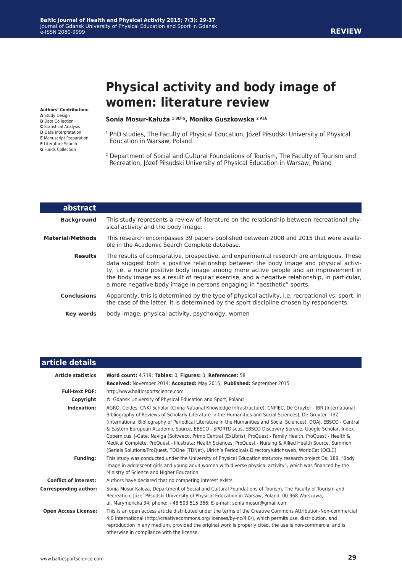# **Physical activity and body image of women: literature review**

**Authors' Contribution:**

- **A** Study Design
- **B** Data Collection
- **C** Statistical Analysis
- **D** Data Interpretation **E** Manuscript Preparation
- **F** Literature Search
- **G** Funds Collection

#### **Sonia Mosur-Kałuża 1 BEFG, Monika Guszkowska 2 AEG**

- <sup>1</sup> PhD studies, The Faculty of Physical Education, Józef Piłsudski University of Physical Education in Warsaw, Poland
- 2 Department of Social and Cultural Foundations of Tourism, The Faculty of Tourism and Recreation, Józef Piłsudski University of Physical Education in Warsaw, Poland

| <b>abstract</b>         |                                                                                                                                                                                                                                                                                                                                                                                                                                                |
|-------------------------|------------------------------------------------------------------------------------------------------------------------------------------------------------------------------------------------------------------------------------------------------------------------------------------------------------------------------------------------------------------------------------------------------------------------------------------------|
| <b>Background</b>       | This study represents a review of literature on the relationship between recreational phy-<br>sical activity and the body image.                                                                                                                                                                                                                                                                                                               |
| <b>Material/Methods</b> | This research encompasses 39 papers published between 2008 and 2015 that were availa-<br>ble in the Academic Search Complete database.                                                                                                                                                                                                                                                                                                         |
| <b>Results</b>          | The results of comparative, prospective, and experimental research are ambiguous. These<br>data suggest both a positive relationship between the body image and physical activi-<br>ty, i.e. a more positive body image among more active people and an improvement in<br>the body image as a result of regular exercise, and a negative relationship, in particular,<br>a more negative body image in persons engaging in "aesthetic" sports. |
| <b>Conclusions</b>      | Apparently, this is determined by the type of physical activity, i.e. recreational vs. sport. In<br>the case of the latter, it is determined by the sport discipline chosen by respondents.                                                                                                                                                                                                                                                    |
| <b>Key words</b>        | body image, physical activity, psychology, women                                                                                                                                                                                                                                                                                                                                                                                               |

| article details              |                                                                                                                                                                                                                                                                                                                                                                                                                                                                                                                                                                                                                                                                                                                                                                                                      |
|------------------------------|------------------------------------------------------------------------------------------------------------------------------------------------------------------------------------------------------------------------------------------------------------------------------------------------------------------------------------------------------------------------------------------------------------------------------------------------------------------------------------------------------------------------------------------------------------------------------------------------------------------------------------------------------------------------------------------------------------------------------------------------------------------------------------------------------|
| <b>Article statistics</b>    | Word count: 4,719; Tables: 0; Figures: 0; References: 58                                                                                                                                                                                                                                                                                                                                                                                                                                                                                                                                                                                                                                                                                                                                             |
|                              | Received: November 2014; Accepted: May 2015; Published: September 2015                                                                                                                                                                                                                                                                                                                                                                                                                                                                                                                                                                                                                                                                                                                               |
| <b>Full-text PDF:</b>        | http://www.balticsportscience.com                                                                                                                                                                                                                                                                                                                                                                                                                                                                                                                                                                                                                                                                                                                                                                    |
| Copyright                    | © Gdansk University of Physical Education and Sport, Poland                                                                                                                                                                                                                                                                                                                                                                                                                                                                                                                                                                                                                                                                                                                                          |
| Indexation:                  | AGRO, Celdes, CNKI Scholar (China National Knowledge Infrastructure), CNPIEC, De Gruyter - IBR (International<br>Bibliography of Reviews of Scholarly Literature in the Humanities and Social Sciences), De Gruyter - IBZ<br>(International Bibliography of Periodical Literature in the Humanities and Social Sciences), DOAJ, EBSCO - Central<br>& Eastern European Academic Source, EBSCO - SPORTDiscus, EBSCO Discovery Service, Google Scholar, Index<br>Copernicus, J-Gate, Naviga (Softweco, Primo Central (ExLibris), ProQuest - Family Health, ProQuest - Health &<br>Medical Complete, ProQuest - Illustrata: Health Sciences, ProQuest - Nursing & Allied Health Source, Summon<br>(Serials Solutions/ProQuest, TDOne (TDNet), Ulrich's Periodicals Directory/ulrichsweb, WorldCat (OCLC) |
| <b>Funding:</b>              | This study was conducted under the University of Physical Education statutory research project Ds. 189, "Body<br>image in adolescent girls and young adult women with diverse physical activity", which was financed by the<br>Ministry of Science and Higher Education.                                                                                                                                                                                                                                                                                                                                                                                                                                                                                                                             |
| <b>Conflict of interest:</b> | Authors have declared that no competing interest exists.                                                                                                                                                                                                                                                                                                                                                                                                                                                                                                                                                                                                                                                                                                                                             |
| <b>Corresponding author:</b> | Sonia Mosur-Kałuża, Department of Social and Cultural Foundations of Tourism, The Faculty of Tourism and<br>Recreation, Józef Piłsudski University of Physical Education in Warsaw, Poland, 00-968 Warszawa,<br>ul. Marymoncka 34; phone: +48 503 515 366; E-e-mail: sonia.mosur@gmail.com                                                                                                                                                                                                                                                                                                                                                                                                                                                                                                           |
| <b>Open Access License:</b>  | This is an open access article distributed under the terms of the Creative Commons Attribution-Non-commercial<br>4.0 International (http://creativecommons.org/licenses/by-nc/4.0/), which permits use, distribution, and<br>reproduction in any medium, provided the original work is properly cited, the use is non-commercial and is<br>otherwise in compliance with the license.                                                                                                                                                                                                                                                                                                                                                                                                                 |

**REVIEW**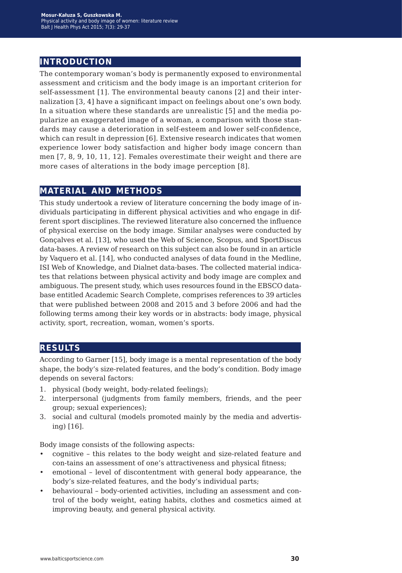### **introduction**

The contemporary woman's body is permanently exposed to environmental assessment and criticism and the body image is an important criterion for self-assessment [1]. The environmental beauty canons [2] and their internalization [3, 4] have a significant impact on feelings about one's own body. In a situation where these standards are unrealistic [5] and the media popularize an exaggerated image of a woman, a comparison with those standards may cause a deterioration in self-esteem and lower self-confidence, which can result in depression [6]. Extensive research indicates that women experience lower body satisfaction and higher body image concern than men [7, 8, 9, 10, 11, 12]. Females overestimate their weight and there are more cases of alterations in the body image perception [8].

### **material and methods**

This study undertook a review of literature concerning the body image of individuals participating in different physical activities and who engage in different sport disciplines. The reviewed literature also concerned the influence of physical exercise on the body image. Similar analyses were conducted by Gonçalves et al. [13], who used the Web of Science, Scopus, and SportDiscus data-bases. A review of research on this subject can also be found in an article by Vaquero et al. [14], who conducted analyses of data found in the Medline, ISI Web of Knowledge, and Dialnet data-bases. The collected material indicates that relations between physical activity and body image are complex and ambiguous. The present study, which uses resources found in the EBSCO database entitled Academic Search Complete, comprises references to 39 articles that were published between 2008 and 2015 and 3 before 2006 and had the following terms among their key words or in abstracts: body image, physical activity, sport, recreation, woman, women's sports.

### **results**

According to Garner [15], body image is a mental representation of the body shape, the body's size-related features, and the body's condition. Body image depends on several factors:

- 1. physical (body weight, body-related feelings);
- 2. interpersonal (judgments from family members, friends, and the peer group; sexual experiences);
- 3. social and cultural (models promoted mainly by the media and advertising) [16].

Body image consists of the following aspects:

- cognitive this relates to the body weight and size-related feature and con-tains an assessment of one's attractiveness and physical fitness;
- emotional level of discontentment with general body appearance, the body's size-related features, and the body's individual parts;
- behavioural body-oriented activities, including an assessment and control of the body weight, eating habits, clothes and cosmetics aimed at improving beauty, and general physical activity.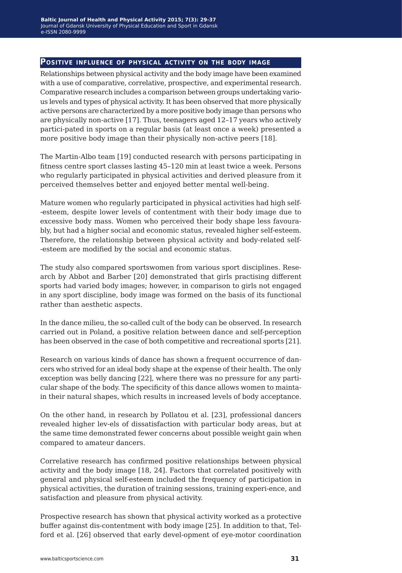#### **Positive influence of physical activity on the body image**

Relationships between physical activity and the body image have been examined with a use of comparative, correlative, prospective, and experimental research. Comparative research includes a comparison between groups undertaking various levels and types of physical activity. It has been observed that more physically active persons are characterized by a more positive body image than persons who are physically non-active [17]. Thus, teenagers aged 12–17 years who actively partici-pated in sports on a regular basis (at least once a week) presented a more positive body image than their physically non-active peers [18].

The Martin-Albo team [19] conducted research with persons participating in fitness centre sport classes lasting 45–120 min at least twice a week. Persons who regularly participated in physical activities and derived pleasure from it perceived themselves better and enjoyed better mental well-being.

Mature women who regularly participated in physical activities had high self- -esteem, despite lower levels of contentment with their body image due to excessive body mass. Women who perceived their body shape less favourably, but had a higher social and economic status, revealed higher self-esteem. Therefore, the relationship between physical activity and body-related self- -esteem are modified by the social and economic status.

The study also compared sportswomen from various sport disciplines. Research by Abbot and Barber [20] demonstrated that girls practising different sports had varied body images; however, in comparison to girls not engaged in any sport discipline, body image was formed on the basis of its functional rather than aesthetic aspects.

In the dance milieu, the so-called cult of the body can be observed. In research carried out in Poland, a positive relation between dance and self-perception has been observed in the case of both competitive and recreational sports [21].

Research on various kinds of dance has shown a frequent occurrence of dancers who strived for an ideal body shape at the expense of their health. The only exception was belly dancing [22], where there was no pressure for any particular shape of the body. The specificity of this dance allows women to maintain their natural shapes, which results in increased levels of body acceptance.

On the other hand, in research by Pollatou et al. [23], professional dancers revealed higher lev-els of dissatisfaction with particular body areas, but at the same time demonstrated fewer concerns about possible weight gain when compared to amateur dancers.

Correlative research has confirmed positive relationships between physical activity and the body image [18, 24]. Factors that correlated positively with general and physical self-esteem included the frequency of participation in physical activities, the duration of training sessions, training experi-ence, and satisfaction and pleasure from physical activity.

Prospective research has shown that physical activity worked as a protective buffer against dis-contentment with body image [25]. In addition to that, Telford et al. [26] observed that early devel-opment of eye-motor coordination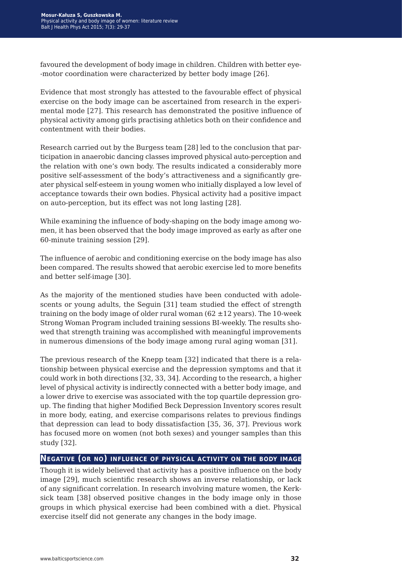favoured the development of body image in children. Children with better eye- -motor coordination were characterized by better body image [26].

Evidence that most strongly has attested to the favourable effect of physical exercise on the body image can be ascertained from research in the experimental mode [27]. This research has demonstrated the positive influence of physical activity among girls practising athletics both on their confidence and contentment with their bodies.

Research carried out by the Burgess team [28] led to the conclusion that participation in anaerobic dancing classes improved physical auto-perception and the relation with one's own body. The results indicated a considerably more positive self-assessment of the body's attractiveness and a significantly greater physical self-esteem in young women who initially displayed a low level of acceptance towards their own bodies. Physical activity had a positive impact on auto-perception, but its effect was not long lasting [28].

While examining the influence of body-shaping on the body image among women, it has been observed that the body image improved as early as after one 60-minute training session [29].

The influence of aerobic and conditioning exercise on the body image has also been compared. The results showed that aerobic exercise led to more benefits and better self-image [30].

As the majority of the mentioned studies have been conducted with adolescents or young adults, the Seguin [31] team studied the effect of strength training on the body image of older rural woman  $(62 \pm 12 \text{ years})$ . The 10-week Strong Woman Program included training sessions BI-weekly. The results showed that strength training was accomplished with meaningful improvements in numerous dimensions of the body image among rural aging woman [31].

The previous research of the Knepp team [32] indicated that there is a relationship between physical exercise and the depression symptoms and that it could work in both directions [32, 33, 34]. According to the research, a higher level of physical activity is indirectly connected with a better body image, and a lower drive to exercise was associated with the top quartile depression group. The finding that higher Modified Beck Depression Inventory scores result in more body, eating, and exercise comparisons relates to previous findings that depression can lead to body dissatisfaction [35, 36, 37]. Previous work has focused more on women (not both sexes) and younger samples than this study [32].

#### **Negative (or no) influence of physical activity on the body image**

Though it is widely believed that activity has a positive influence on the body image [29], much scientific research shows an inverse relationship, or lack of any significant correlation. In research involving mature women, the Kerksick team [38] observed positive changes in the body image only in those groups in which physical exercise had been combined with a diet. Physical exercise itself did not generate any changes in the body image.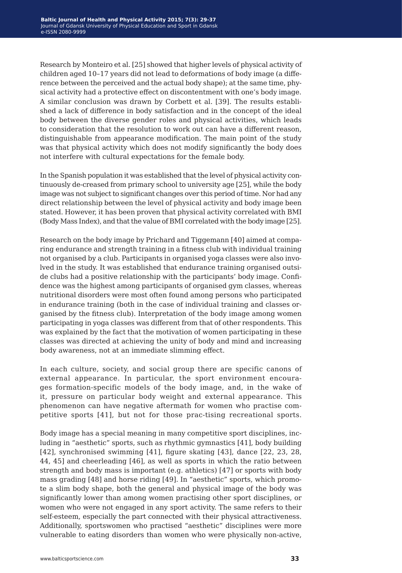Research by Monteiro et al. [25] showed that higher levels of physical activity of children aged 10–17 years did not lead to deformations of body image (a difference between the perceived and the actual body shape); at the same time, physical activity had a protective effect on discontentment with one's body image. A similar conclusion was drawn by Corbett et al. [39]. The results established a lack of difference in body satisfaction and in the concept of the ideal body between the diverse gender roles and physical activities, which leads to consideration that the resolution to work out can have a different reason, distinguishable from appearance modification. The main point of the study was that physical activity which does not modify significantly the body does not interfere with cultural expectations for the female body.

In the Spanish population it was established that the level of physical activity continuously de-creased from primary school to university age [25], while the body image was not subject to significant changes over this period of time. Nor had any direct relationship between the level of physical activity and body image been stated. However, it has been proven that physical activity correlated with BMI (Body Mass Index), and that the value of BMI correlated with the body image [25].

Research on the body image by Prichard and Tiggemann [40] aimed at comparing endurance and strength training in a fitness club with individual training not organised by a club. Participants in organised yoga classes were also involved in the study. It was established that endurance training organised outside clubs had a positive relationship with the participants' body image. Confidence was the highest among participants of organised gym classes, whereas nutritional disorders were most often found among persons who participated in endurance training (both in the case of individual training and classes organised by the fitness club). Interpretation of the body image among women participating in yoga classes was different from that of other respondents. This was explained by the fact that the motivation of women participating in these classes was directed at achieving the unity of body and mind and increasing body awareness, not at an immediate slimming effect.

In each culture, society, and social group there are specific canons of external appearance. In particular, the sport environment encourages formation-specific models of the body image, and, in the wake of it, pressure on particular body weight and external appearance. This phenomenon can have negative aftermath for women who practise competitive sports [41], but not for those prac-tising recreational sports.

Body image has a special meaning in many competitive sport disciplines, including in "aesthetic" sports, such as rhythmic gymnastics [41], body building [42], synchronised swimming [41], figure skating [43], dance [22, 23, 28, 44, 45] and cheerleading [46], as well as sports in which the ratio between strength and body mass is important (e.g. athletics) [47] or sports with body mass grading [48] and horse riding [49]. In "aesthetic" sports, which promote a slim body shape, both the general and physical image of the body was significantly lower than among women practising other sport disciplines, or women who were not engaged in any sport activity. The same refers to their self-esteem, especially the part connected with their physical attractiveness. Additionally, sportswomen who practised "aesthetic" disciplines were more vulnerable to eating disorders than women who were physically non-active,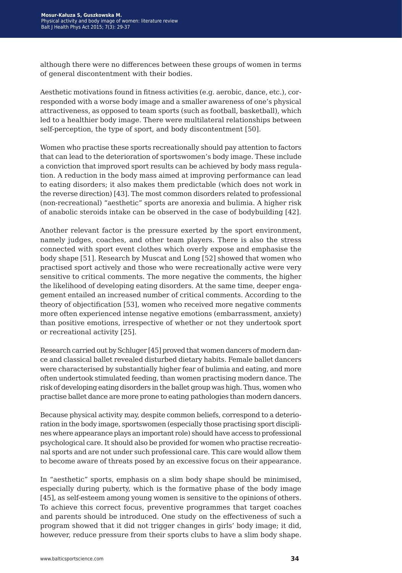although there were no differences between these groups of women in terms of general discontentment with their bodies.

Aesthetic motivations found in fitness activities (e.g. aerobic, dance, etc.), corresponded with a worse body image and a smaller awareness of one's physical attractiveness, as opposed to team sports (such as football, basketball), which led to a healthier body image. There were multilateral relationships between self-perception, the type of sport, and body discontentment [50].

Women who practise these sports recreationally should pay attention to factors that can lead to the deterioration of sportswomen's body image. These include a conviction that improved sport results can be achieved by body mass regulation. A reduction in the body mass aimed at improving performance can lead to eating disorders; it also makes them predictable (which does not work in the reverse direction) [43]. The most common disorders related to professional (non-recreational) "aesthetic" sports are anorexia and bulimia. A higher risk of anabolic steroids intake can be observed in the case of bodybuilding [42].

Another relevant factor is the pressure exerted by the sport environment, namely judges, coaches, and other team players. There is also the stress connected with sport event clothes which overly expose and emphasise the body shape [51]. Research by Muscat and Long [52] showed that women who practised sport actively and those who were recreationally active were very sensitive to critical comments. The more negative the comments, the higher the likelihood of developing eating disorders. At the same time, deeper engagement entailed an increased number of critical comments. According to the theory of objectification [53], women who received more negative comments more often experienced intense negative emotions (embarrassment, anxiety) than positive emotions, irrespective of whether or not they undertook sport or recreational activity [25].

Research carried out by Schluger [45] proved that women dancers of modern dance and classical ballet revealed disturbed dietary habits. Female ballet dancers were characterised by substantially higher fear of bulimia and eating, and more often undertook stimulated feeding, than women practising modern dance. The risk of developing eating disorders in the ballet group was high. Thus, women who practise ballet dance are more prone to eating pathologies than modern dancers.

Because physical activity may, despite common beliefs, correspond to a deterioration in the body image, sportswomen (especially those practising sport disciplines where appearance plays an important role) should have access to professional psychological care. It should also be provided for women who practise recreational sports and are not under such professional care. This care would allow them to become aware of threats posed by an excessive focus on their appearance.

In "aesthetic" sports, emphasis on a slim body shape should be minimised, especially during puberty, which is the formative phase of the body image [45], as self-esteem among young women is sensitive to the opinions of others. To achieve this correct focus, preventive programmes that target coaches and parents should be introduced. One study on the effectiveness of such a program showed that it did not trigger changes in girls' body image; it did, however, reduce pressure from their sports clubs to have a slim body shape.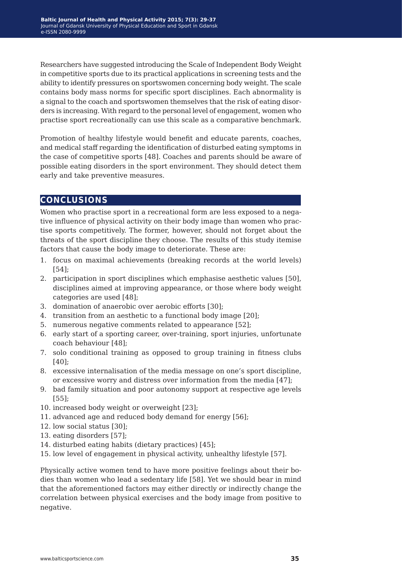Researchers have suggested introducing the Scale of Independent Body Weight in competitive sports due to its practical applications in screening tests and the ability to identify pressures on sportswomen concerning body weight. The scale contains body mass norms for specific sport disciplines. Each abnormality is a signal to the coach and sportswomen themselves that the risk of eating disorders is increasing. With regard to the personal level of engagement, women who practise sport recreationally can use this scale as a comparative benchmark.

Promotion of healthy lifestyle would benefit and educate parents, coaches, and medical staff regarding the identification of disturbed eating symptoms in the case of competitive sports [48]. Coaches and parents should be aware of possible eating disorders in the sport environment. They should detect them early and take preventive measures.

### **conclusions**

Women who practise sport in a recreational form are less exposed to a negative influence of physical activity on their body image than women who practise sports competitively. The former, however, should not forget about the threats of the sport discipline they choose. The results of this study itemise factors that cause the body image to deteriorate. These are:

- 1. focus on maximal achievements (breaking records at the world levels) [54];
- 2. participation in sport disciplines which emphasise aesthetic values [50], disciplines aimed at improving appearance, or those where body weight categories are used [48];
- 3. domination of anaerobic over aerobic efforts [30];
- 4. transition from an aesthetic to a functional body image [20];
- 5. numerous negative comments related to appearance [52];
- 6. early start of a sporting career, over-training, sport injuries, unfortunate coach behaviour [48];
- 7. solo conditional training as opposed to group training in fitness clubs [40];
- 8. excessive internalisation of the media message on one's sport discipline, or excessive worry and distress over information from the media [47];
- 9. bad family situation and poor autonomy support at respective age levels [55];
- 10. increased body weight or overweight [23];
- 11. advanced age and reduced body demand for energy [56];
- 12. low social status [30];
- 13. eating disorders [57];
- 14. disturbed eating habits (dietary practices) [45];
- 15. low level of engagement in physical activity, unhealthy lifestyle [57].

Physically active women tend to have more positive feelings about their bodies than women who lead a sedentary life [58]. Yet we should bear in mind that the aforementioned factors may either directly or indirectly change the correlation between physical exercises and the body image from positive to negative.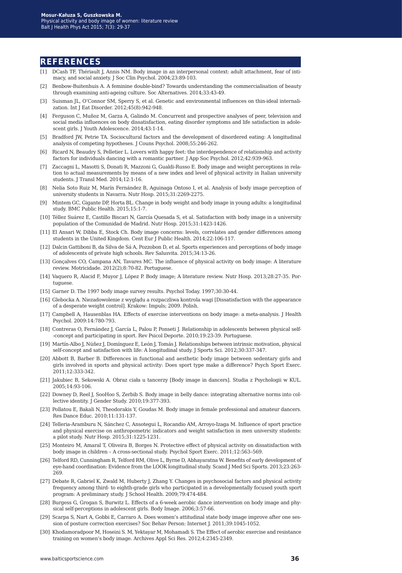### **references**

- [1] DCash TF, Thériault J, Annis NM. Body image in an interpersonal context: adult attachment, fear of intimacy, and social anxiety. J Soc Clin Psychol. 2004;23:89-103.
- [2] Benbow-Buitenhuis A. A feminine double-bind? Towards understanding the commercialisation of beauty through examining anti-ageing culture. Soc Alternatives. 2014;33:43-49.
- [3] Suisman JL, O'Connor SM, Sperry S, et al. Genetic and environmental influences on thin-ideal internalization. Int J Eat Disorder. 2012;45(8):942-948.
- [4] Ferguson C, Muñoz M, Garza A, Galindo M. Concurrent and prospective analyses of peer, television and social media influences on body dissatisfaction, eating disorder symptoms and life satisfaction in adolescent girls. J Youth Adolescence. 2014;43:1-14.
- [5] Bradford JW, Petrie TA. Sociocultural factors and the development of disordered eating: A longitudinal analysis of competing hypotheses. J Couns Psychol. 2008;55:246-262.
- [6] Ricard N, Beaudry S, Pelletier L. Lovers with happy feet: the interdependence of relationship and activity factors for individuals dancing with a romantic partner. J App Soc Psychol. 2012;42:939-963.
- [7] Zaccagni L, Masotti S, Donati R, Mazzoni G, Gualdi-Russo E. Body image and weight perceptions in relation to actual measurements by means of a new index and level of physical activity in Italian university students. J Transl Med. 2014;12:1-16.
- [8] Nelia Soto Ruiz M, Marín Fernández B, Aguinaga Ontoso I, et al. Analysis of body image perception of university students in Navarra. Nutr Hosp. 2015;31:2269-2275.
- [9] Mintem GC, Gigante DP, Horta BL. Change in body weight and body image in young adults: a longitudinal study. BMC Public Health. 2015;15:1-7.
- [10] Téllez Suárez E, Castillo Biscari N, García Quesada S, et al. Satisfaction with body image in a university population of the Comunidad de Madrid. Nutr Hosp. 2015;31:1423-1426.
- [11] El Ansari W, Dibba E, Stock Ch. Body image concerns: levels, correlates and gender differences among students in the United Kingdom. Cent Eur J Public Health. 2014;22:106-117.
- [12] Dalcin Gattiboni B, da Silva de Sá A, Pozzobon D, et al. Sports experiences and perceptions of body image of adolescents of private high schools. Rev Salusvita. 2015;34:13-26.
- [13] Gonçalves CO, Campana AN, Tavares MC. The influence of physical activity on body image: A literature review. Motricidade. 2012(2);8:70-82. Portuguese.
- [14] Vaquero R, Alacid F, Muyor J, López P. Body image; A literature review. Nutr Hosp. 2013;28:27-35. Portuguese.
- [15] Garner D. The 1997 body image survey results. Psychol Today. 1997;30:30-44.
- [16] Glebocka A. Niezadowolenie z wyglądu a rozpaczliwa kontrola wagi [Dissatisfaction with the appearance of a desperate weight control]. Krakow: Impuls; 2009. Polish.
- [17] Campbell A, Hausenblas HA. Effects of exercise interventions on body image: a meta-analysis. J Health Psychol. 2009:14:780-793.
- [18] Contreras O, Fernández J, García L, Palou P, Ponseti J. Relationship in adolescents between physical self- -concept and participating in sport. Rev Psicol Deporte. 2010;19:23-39. Portuguese.
- [19] Martín-Albo J, Núñez J, Domínguez E, León J, Tomás J. Relationships between intrinsic motivation, physical self-concept and satisfaction with life: A longitudinal study. J Sports Sci. 2012;30:337-347.
- [20] Abbott B, Barber B. Differences in functional and aesthetic body image between sedentary girls and girls involved in sports and physical activity: Does sport type make a difference? Psych Sport Exerc. 2011;12:333-342.
- [21] Jakubiec B, Sekowski A. Obraz ciała u tancerzy [Body image in dancers]. Studia z Psychologii w KUL. 2005;14:93-106.
- [22] Downey D, Reel J, SooHoo S, Zerbib S. Body image in belly dance: integrating alternative norms into collective identity. J Gender Study. 2010;19:377-393.
- [23] Pollatou E, Bakali N, Theodorakis Y, Goudas M. Body image in female professional and amateur dancers. Res Dance Educ. 2010;11:131-137.
- [24] Telleria-Aramburu N, Sánchez C, Ansotegui L, Rocandio AM, Arroyo-Izaga M. Influence of sport practice and physical exercise on anthropometric indicators and weight satisfaction in men university students: a pilot study. Nutr Hosp. 2015;31:1225-1231.
- [25] Monteiro M, Amaral T, Oliveira B, Borges N. Protective effect of physical activity on dissatisfaction with body image in children – A cross-sectional study. Psychol Sport Exerc. 2011;12:563–569.
- [26] Telford RD, Cunningham R, Telford RM, Olive L, Byrne D, Abhayaratna W. Benefits of early development of eye-hand coordination: Evidence from the LOOK longitudinal study. Scand J Med Sci Sports. 2013;23:263- 269.
- [27] Debate R, Gabriel K, Zwald M, Huberty J, Zhang Y. Changes in psychosocial factors and physical activity frequency among third- to eighth-grade girls who participated in a developmentally focused youth sport program: A preliminary study. J School Health. 2009;79:474-484.
- [28] Burgess G, Grogan S, Burwitz L. Effects of a 6-week aerobic dance intervention on body image and physical self-perceptions in adolescent girls. Body Image. 2006;3:57-66.
- [29] Scarpa S, Nart A, Gobbi E, Carraro A. Does women's attitudinal state body image improve after one session of posture correction exercises? Soc Behav Person: Internet J. 2011;39:1045-1052.
- [30] Khodamoradpoor M, Hoseini S. M, Yektayar M, Mohamadi S. The Effect of aerobic exercise and resistance training on women's body image. Archives Appl Sci Res. 2012;4:2345-2349.